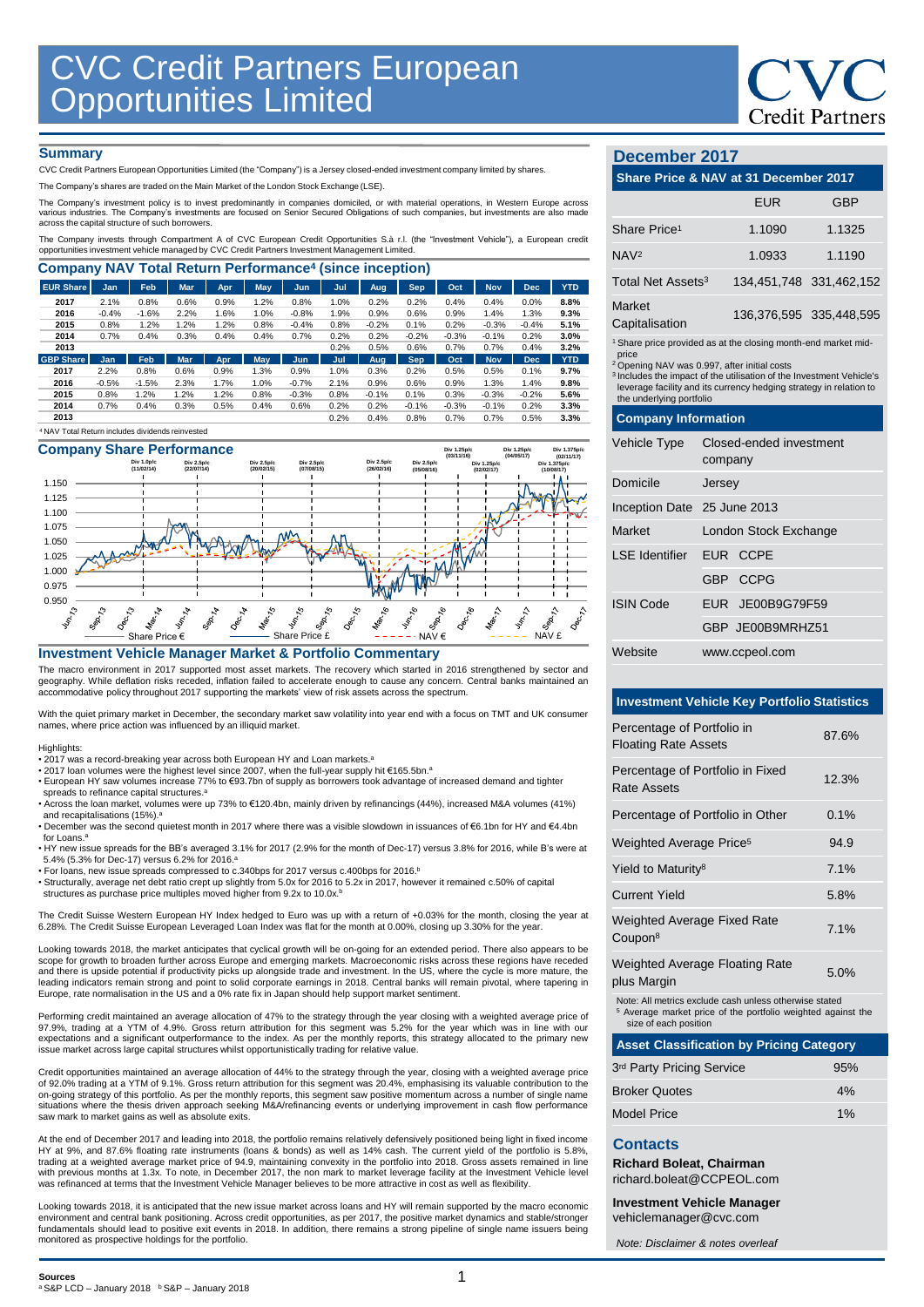

#### **Summary**

CVC Credit Partners European Opportunities Limited (the "Company") is a Jersey closed-ended investment company limited by shares.

The Company's shares are traded on the Main Market of the London Stock Exchange (LSE).

The Company's investment policy is to invest predominantly in companies domiciled, or with material operations, in Western Europe across<br>various industries. The Company's investments are focused on Senior Secured Obligatio

The Company invests through Compartment A of CVC European Credit Opportunities S.à r.l. (the "Investment Vehicle"), a European credit<br>opportunities investment vehicle managed by CVC Credit Partners Investment Management Li

| <b>Company NAV Total Return Performance<sup>4</sup> (since inception)</b> |            |         |            |            |            |         |      |            |            |         |            |            |            |
|---------------------------------------------------------------------------|------------|---------|------------|------------|------------|---------|------|------------|------------|---------|------------|------------|------------|
| <b>EUR Share</b>                                                          | Jan.       | Feb     | <b>Mar</b> | <b>Apr</b> | <b>May</b> | Jun.    | Jul  | <b>Aug</b> | <b>Sep</b> | Oct     | <b>Nov</b> | <b>Dec</b> | <b>YTD</b> |
| 2017                                                                      | 2.1%       | 0.8%    | 0.6%       | 0.9%       | 1.2%       | 0.8%    | 1.0% | 0.2%       | 0.2%       | 0.4%    | 0.4%       | 0.0%       | 8.8%       |
| 2016                                                                      | $-0.4%$    | $-1.6%$ | 2.2%       | 1.6%       | 1.0%       | $-0.8%$ | 1.9% | 0.9%       | 0.6%       | 0.9%    | 1.4%       | 1.3%       | 9.3%       |
| 2015                                                                      | 0.8%       | 1.2%    | 1.2%       | 1.2%       | 0.8%       | $-0.4%$ | 0.8% | $-0.2%$    | 0.1%       | 0.2%    | $-0.3%$    | $-0.4%$    | 5.1%       |
| 2014                                                                      | 0.7%       | 0.4%    | 0.3%       | 0.4%       | 0.4%       | 0.7%    | 0.2% | 0.2%       | $-0.2%$    | $-0.3%$ | $-0.1%$    | 0.2%       | 3.0%       |
| 2013                                                                      |            |         |            |            |            |         | 0.2% | 0.5%       | 0.6%       | 0.7%    | 0.7%       | 0.4%       | 3.2%       |
| <b>GBP Share</b>                                                          | <b>Jan</b> | Feb     | <b>Mar</b> | Apr        | May        | Jun     | Jul  | Aug        | <b>Sep</b> | Oct     | <b>Nov</b> | <b>Dec</b> | <b>YTD</b> |
| 2017                                                                      | 2.2%       | 0.8%    | 0.6%       | 0.9%       | 1.3%       | 0.9%    | 1.0% | 0.3%       | 0.2%       | 0.5%    | 0.5%       | 0.1%       | 9.7%       |
| 2016                                                                      | $-0.5%$    | $-1.5%$ | 2.3%       | 1.7%       | 1.0%       | $-0.7%$ | 2.1% | 0.9%       | 0.6%       | 0.9%    | 1.3%       | 1.4%       | 9.8%       |
| 2015                                                                      | 0.8%       | 1.2%    | 1.2%       | 1.2%       | 0.8%       | $-0.3%$ | 0.8% | $-0.1%$    | 0.1%       | 0.3%    | $-0.3%$    | $-0.2%$    | 5.6%       |
| 2014                                                                      | 0.7%       | 0.4%    | 0.3%       | 0.5%       | 0.4%       | 0.6%    | 0.2% | 0.2%       | $-0.1%$    | $-0.3%$ | $-0.1%$    | 0.2%       | 3.3%       |
| 2013                                                                      |            |         |            |            |            |         | 0.2% | 0.4%       | 0.8%       | 0.7%    | 0.7%       | 0.5%       | 3.3%       |
| <sup>4</sup> NAV Total Return includes dividends reinvested               |            |         |            |            |            |         |      |            |            |         |            |            |            |

# **Company Share Performance**



#### **Investment Vehicle Manager Market & Portfolio Commentary**

The macro environment in 2017 supported most asset markets. The recovery which started in 2016 strengthened by sector and geography. While deflation risks receded, inflation failed to accelerate enough to cause any concern. Central banks maintained an accommodative policy throughout 2017 supporting the markets' view of risk assets across the spectrum.

With the quiet primary market in December, the secondary market saw volatility into year end with a focus on TMT and UK consumer names, where price action was influenced by an illiquid market.

#### Highlights:

- 2017 was a record-breaking year across both European HY and Loan markets. a
- 2017 loan volumes were the highest level since 2007, when the full-year supply hit €165.5bn. a • European HY saw volumes increase 77% to €93.7bn of supply as borrowers took advantage of increased demand and tighter
- spreads to refinance capital structures. a • Across the loan market, volumes were up 73% to €120.4bn, mainly driven by refinancings (44%), increased M&A volumes (41%)
- and recapitalisations (15%). a • December was the second quietest month in 2017 where there was a visible slowdown in issuances of €6.1bn for HY and €4.4bn
- for Loans. a • HY new issue spreads for the BB's averaged 3.1% for 2017 (2.9% for the month of Dec-17) versus 3.8% for 2016, while B's were at 5.4% (5.3% for Dec-17) versus 6.2% for 2016. a
- For loans, new issue spreads compressed to c.340bps for 2017 versus c.400bps for 2016. b
- Structurally, average net debt ratio crept up slightly from 5.0x for 2016 to 5.2x in 2017, however it remained c.50% of capital structures as purchase price multiples moved higher from 9.2x to 10.0x.<sup>b</sup>

The Credit Suisse Western European HY Index hedged to Euro was up with a return of +0.03% for the month, closing the year at 6.28%. The Credit Suisse European Leveraged Loan Index was flat for the month at 0.00%, closing up 3.30% for the year.

Looking towards 2018, the market anticipates that cyclical growth will be on-going for an extended period. There also appears to be scope for growth to broaden further across Europe and emerging markets. Macroeconomic risks across these regions have receded and there is upside potential if productivity picks up alongside trade and investment. In the US, where the cycle is more mature, the leading indicators remain strong and point to solid corporate earnings in 2018. Central banks will remain pivotal, where tapering in Europe, rate normalisation in the US and a 0% rate fix in Japan should help support market sentiment.

Performing credit maintained an average allocation of 47% to the strategy through the year closing with a weighted average price of 97.9%, trading at a YTM of 4.9%. Gross return attribution for this segment was 5.2% for the year which was in line with our expectations and a significant outperformance to the index. As per the monthly reports, this strategy allocated to the primary new issue market across large capital structures whilst opportunistically trading for relative value.

Credit opportunities maintained an average allocation of 44% to the strategy through the year, closing with a weighted average price of 92.0% trading at a YTM of 9.1%. Gross return attribution for this segment was 20.4%, emphasising its valuable contribution to the<br>on-going strategy of this portfolio. As per the monthly reports, this segment saw positiv situations where the thesis driven approach seeking M&A/refinancing events or underlying improvement in cash flow performance saw mark to market gains as well as absolute exits.

At the end of December 2017 and leading into 2018, the portfolio remains relatively defensively positioned being light in fixed income<br>HY at 9%, and 87.6% floating rate instruments (Ioans & bonds) as well as 14% cash. The trading at a weighted average market price of 94.9, maintaining convexity in the portfolio into 2018. Gross assets remained in line<br>with previous months at 1.3x. To note, in December 2017, the non mark to market leverage f was refinanced at terms that the Investment Vehicle Manager believes to be more attractive in cost as well as flexibility

Looking towards 2018, it is anticipated that the new issue market across loans and HY will remain supported by the macro economic environment and central bank positioning. Across credit opportunities, as per 2017, the positive market dynamics and stable/stronger fundamentals should lead to positive exit events in 2018. In addition, there remains a strong pipeline of single name issuers being monitored as prospective holdings for the portfolio.

# **December 2017**

# **Share Price & NAV at 31 December 2017**

|                                                                                                                                                                                                                                                                                                                                    |          | <b>EUR</b>                         | GBP                     |  |  |  |
|------------------------------------------------------------------------------------------------------------------------------------------------------------------------------------------------------------------------------------------------------------------------------------------------------------------------------------|----------|------------------------------------|-------------------------|--|--|--|
| Share Price <sup>1</sup>                                                                                                                                                                                                                                                                                                           |          | 1.1090                             | 1.1325                  |  |  |  |
| NAV <sub>2</sub>                                                                                                                                                                                                                                                                                                                   |          | 1.0933                             | 1.1190                  |  |  |  |
| Total Net Assets <sup>3</sup>                                                                                                                                                                                                                                                                                                      |          |                                    | 134,451,748 331,462,152 |  |  |  |
| Market<br>Capitalisation                                                                                                                                                                                                                                                                                                           |          | 136,376,595 335,448,595            |                         |  |  |  |
| <sup>1</sup> Share price provided as at the closing month-end market mid-<br>price<br><sup>2</sup> Opening NAV was 0.997, after initial costs<br><sup>3</sup> Includes the impact of the utilisation of the Investment Vehicle's<br>leverage facility and its currency hedging strategy in relation to<br>the underlying portfolio |          |                                    |                         |  |  |  |
| <b>Company Information</b>                                                                                                                                                                                                                                                                                                         |          |                                    |                         |  |  |  |
| Vehicle Type                                                                                                                                                                                                                                                                                                                       |          | Closed-ended investment<br>company |                         |  |  |  |
| Domicile                                                                                                                                                                                                                                                                                                                           |          | Jersey                             |                         |  |  |  |
| Inception Date 25 June 2013                                                                                                                                                                                                                                                                                                        |          |                                    |                         |  |  |  |
| <b>Market</b>                                                                                                                                                                                                                                                                                                                      |          | London Stock Exchange              |                         |  |  |  |
| <b>LSE</b> Identifier                                                                                                                                                                                                                                                                                                              |          | EUR CCPE                           |                         |  |  |  |
|                                                                                                                                                                                                                                                                                                                                    | GBP CCPG |                                    |                         |  |  |  |
| <b>ISIN Code</b>                                                                                                                                                                                                                                                                                                                   |          | EUR JE00B9G79F59                   |                         |  |  |  |
|                                                                                                                                                                                                                                                                                                                                    |          | GBP JE00B9MRHZ51                   |                         |  |  |  |
| Website                                                                                                                                                                                                                                                                                                                            |          | www.ccpeol.com                     |                         |  |  |  |

#### **Investment Vehicle Key Portfolio Statistics**

| Percentage of Portfolio in<br><b>Floating Rate Assets</b> | 87.6% |
|-----------------------------------------------------------|-------|
| Percentage of Portfolio in Fixed<br>Rate Assets           | 12.3% |
| Percentage of Portfolio in Other                          | 0.1%  |
| Weighted Average Price <sup>5</sup>                       | 94.9  |
| Yield to Maturity <sup>8</sup>                            | 7.1%  |
| Current Yield                                             | 5.8%  |
| <b>Weighted Average Fixed Rate</b><br>Coupon <sup>8</sup> | 7.1%  |
| <b>Weighted Average Floating Rate</b>                     | 5 በ%  |

plus Margin

Note: All metrics exclude cash unless otherwise stated

<sup>5</sup> Average market price of the portfolio weighted against the size of each position

### **Asset Classification by Pricing Category**

| 95% |
|-----|
| 4%  |
| 1%  |
|     |

# **Contacts**

**Richard Boleat, Chairman**  richard.boleat@CCPEOL.com

**Investment Vehicle Manager** vehiclemanager@cvc.com

*Note: Disclaimer & notes overleaf*